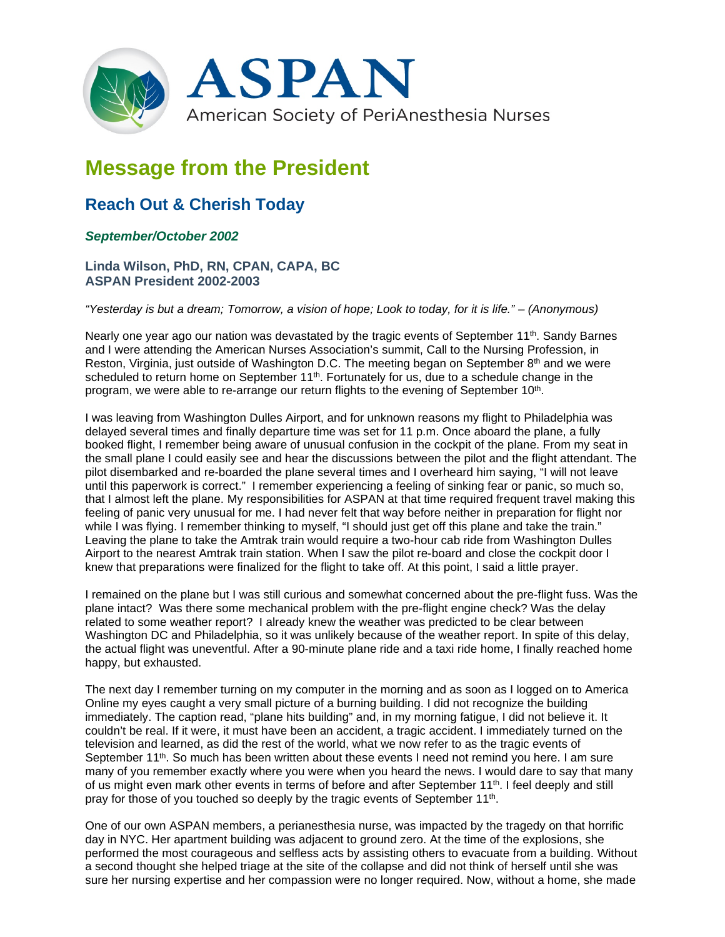

## **Message from the President**

## **Reach Out & Cherish Today**

## *September/October 2002*

## **Linda Wilson, PhD, RN, CPAN, CAPA, BC ASPAN President 2002-2003**

*"Yesterday is but a dream; Tomorrow, a vision of hope; Look to today, for it is life." – (Anonymous)*

Nearly one year ago our nation was devastated by the tragic events of September  $11<sup>th</sup>$ . Sandy Barnes and I were attending the American Nurses Association's summit, Call to the Nursing Profession, in Reston, Virginia, just outside of Washington D.C. The meeting began on September 8<sup>th</sup> and we were scheduled to return home on September 11<sup>th</sup>. Fortunately for us, due to a schedule change in the program, we were able to re-arrange our return flights to the evening of September 10th.

I was leaving from Washington Dulles Airport, and for unknown reasons my flight to Philadelphia was delayed several times and finally departure time was set for 11 p.m. Once aboard the plane, a fully booked flight, I remember being aware of unusual confusion in the cockpit of the plane. From my seat in the small plane I could easily see and hear the discussions between the pilot and the flight attendant. The pilot disembarked and re-boarded the plane several times and I overheard him saying, "I will not leave until this paperwork is correct." I remember experiencing a feeling of sinking fear or panic, so much so, that I almost left the plane. My responsibilities for ASPAN at that time required frequent travel making this feeling of panic very unusual for me. I had never felt that way before neither in preparation for flight nor while I was flying. I remember thinking to myself, "I should just get off this plane and take the train." Leaving the plane to take the Amtrak train would require a two-hour cab ride from Washington Dulles Airport to the nearest Amtrak train station. When I saw the pilot re-board and close the cockpit door I knew that preparations were finalized for the flight to take off. At this point, I said a little prayer.

I remained on the plane but I was still curious and somewhat concerned about the pre-flight fuss. Was the plane intact? Was there some mechanical problem with the pre-flight engine check? Was the delay related to some weather report? I already knew the weather was predicted to be clear between Washington DC and Philadelphia, so it was unlikely because of the weather report. In spite of this delay, the actual flight was uneventful. After a 90-minute plane ride and a taxi ride home, I finally reached home happy, but exhausted.

The next day I remember turning on my computer in the morning and as soon as I logged on to America Online my eyes caught a very small picture of a burning building. I did not recognize the building immediately. The caption read, "plane hits building" and, in my morning fatigue, I did not believe it. It couldn't be real. If it were, it must have been an accident, a tragic accident. I immediately turned on the television and learned, as did the rest of the world, what we now refer to as the tragic events of September 11<sup>th</sup>. So much has been written about these events I need not remind you here. I am sure many of you remember exactly where you were when you heard the news. I would dare to say that many of us might even mark other events in terms of before and after September 11<sup>th</sup>. I feel deeply and still pray for those of you touched so deeply by the tragic events of September 11<sup>th</sup>.

One of our own ASPAN members, a perianesthesia nurse, was impacted by the tragedy on that horrific day in NYC. Her apartment building was adjacent to ground zero. At the time of the explosions, she performed the most courageous and selfless acts by assisting others to evacuate from a building. Without a second thought she helped triage at the site of the collapse and did not think of herself until she was sure her nursing expertise and her compassion were no longer required. Now, without a home, she made